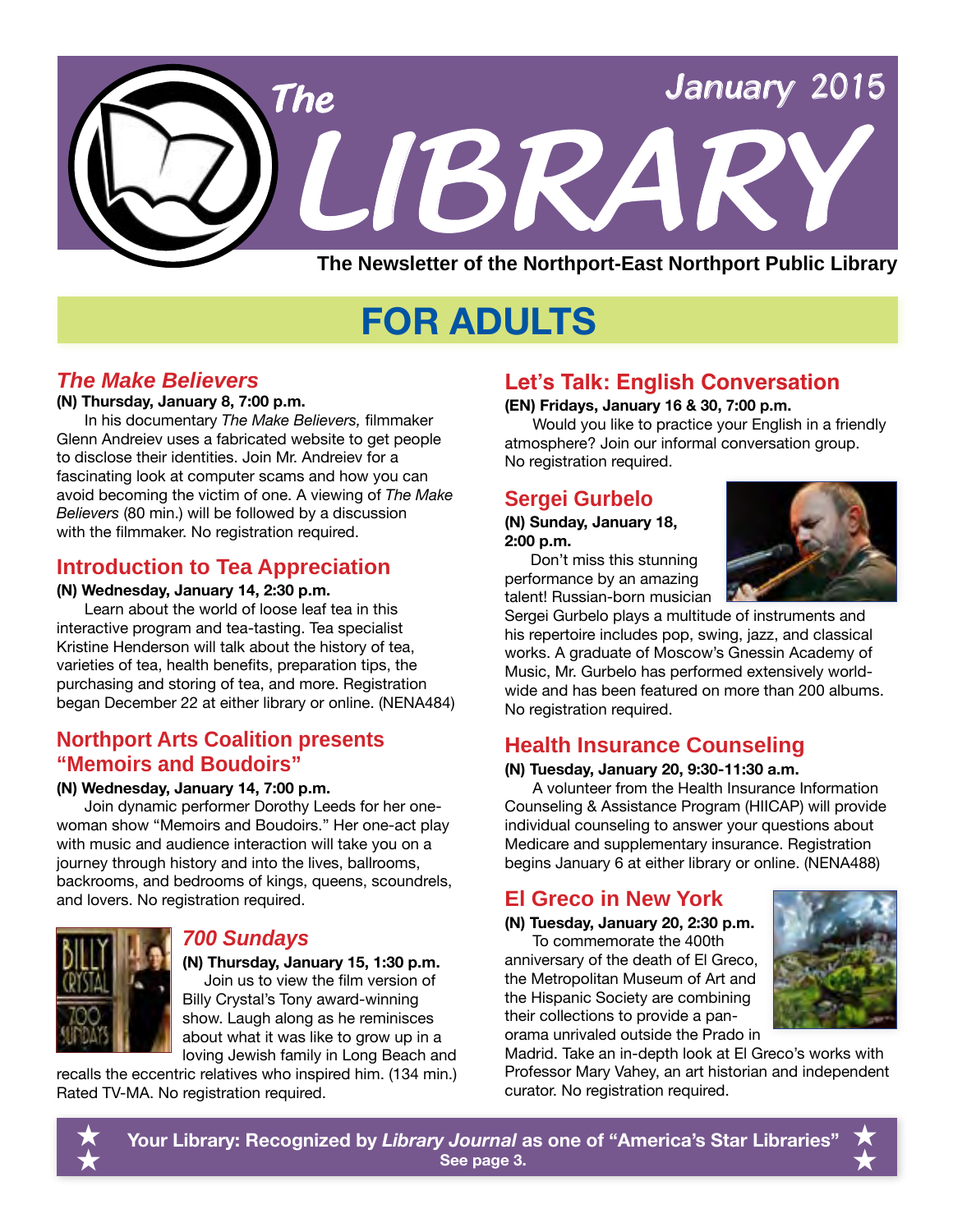

## **FOR ADULTS**

## *The Make Believers*

### **(N) Thursday, January 8, 7:00 p.m.**

In his documentary *The Make Believers,* filmmaker Glenn Andreiev uses a fabricated website to get people to disclose their identities. Join Mr. Andreiev for a fascinating look at computer scams and how you can avoid becoming the victim of one. A viewing of *The Make Believers* (80 min.) will be followed by a discussion with the filmmaker. No registration required.

## **Introduction to Tea Appreciation**

### **(N) Wednesday, January 14, 2:30 p.m.**

Learn about the world of loose leaf tea in this interactive program and tea-tasting. Tea specialist Kristine Henderson will talk about the history of tea, varieties of tea, health benefits, preparation tips, the purchasing and storing of tea, and more. Registration began December 22 at either library or online. [\(NENA484\)](http://alpha2.suffolk.lib.ny.us/search/?searchtype=X&SORT=D&searcharg=nena484&searchscope=43)

## **Northport Arts Coalition presents "Memoirs and Boudoirs"**

### **(N) Wednesday, January 14, 7:00 p.m.**

Join dynamic performer Dorothy Leeds for her onewoman show "Memoirs and Boudoirs." Her one-act play with music and audience interaction will take you on a journey through history and into the lives, ballrooms, backrooms, and bedrooms of kings, queens, scoundrels, and lovers. No registration required.



## *700 Sundays*

**(N) Thursday, January 15, 1:30 p.m.** Join us to view the film version of Billy Crystal's Tony award-winning show. Laugh along as he reminisces about what it was like to grow up in a loving Jewish family in Long Beach and

recalls the eccentric relatives who inspired him. (134 min.) Rated TV-MA. No registration required.

## **Let's Talk: English Conversation**

### **(EN) Fridays, January 16 & 30, 7:00 p.m.**

Would you like to practice your English in a friendly atmosphere? Join our informal conversation group. No registration required.

## **Sergei Gurbelo**

### **(N) Sunday, January 18, 2:00 p.m.**

 Don't miss this stunning performance by an amazing talent! Russian-born musician



Sergei Gurbelo plays a multitude of instruments and his repertoire includes pop, swing, jazz, and classical works. A graduate of Moscow's Gnessin Academy of Music, Mr. Gurbelo has performed extensively worldwide and has been featured on more than 200 albums. No registration required.

## **Health Insurance Counseling**

### **(N) Tuesday, January 20, 9:30-11:30 a.m.**

A volunteer from the Health Insurance Information Counseling & Assistance Program (HIICAP) will provide individual counseling to answer your questions about Medicare and supplementary insurance. Registration begins January 6 at either library or online. [\(NENA488](http://alpha2.suffolk.lib.ny.us/search/?searchtype=X&SORT=D&searcharg=nena488&searchscope=43))

## **El Greco in New York**

**(N) Tuesday, January 20, 2:30 p.m.**

To commemorate the 400th anniversary of the death of El Greco, the Metropolitan Museum of Art and the Hispanic Society are combining their collections to provide a panorama unrivaled outside the Prado in



Madrid. Take an in-depth look at El Greco's works with Professor Mary Vahey, an art historian and independent curator. No registration required.



**Your Library: Recognized by** *Library Journal* **as one of "America's Star Libraries" See page 3.**  $\star$  $\hat{\star}$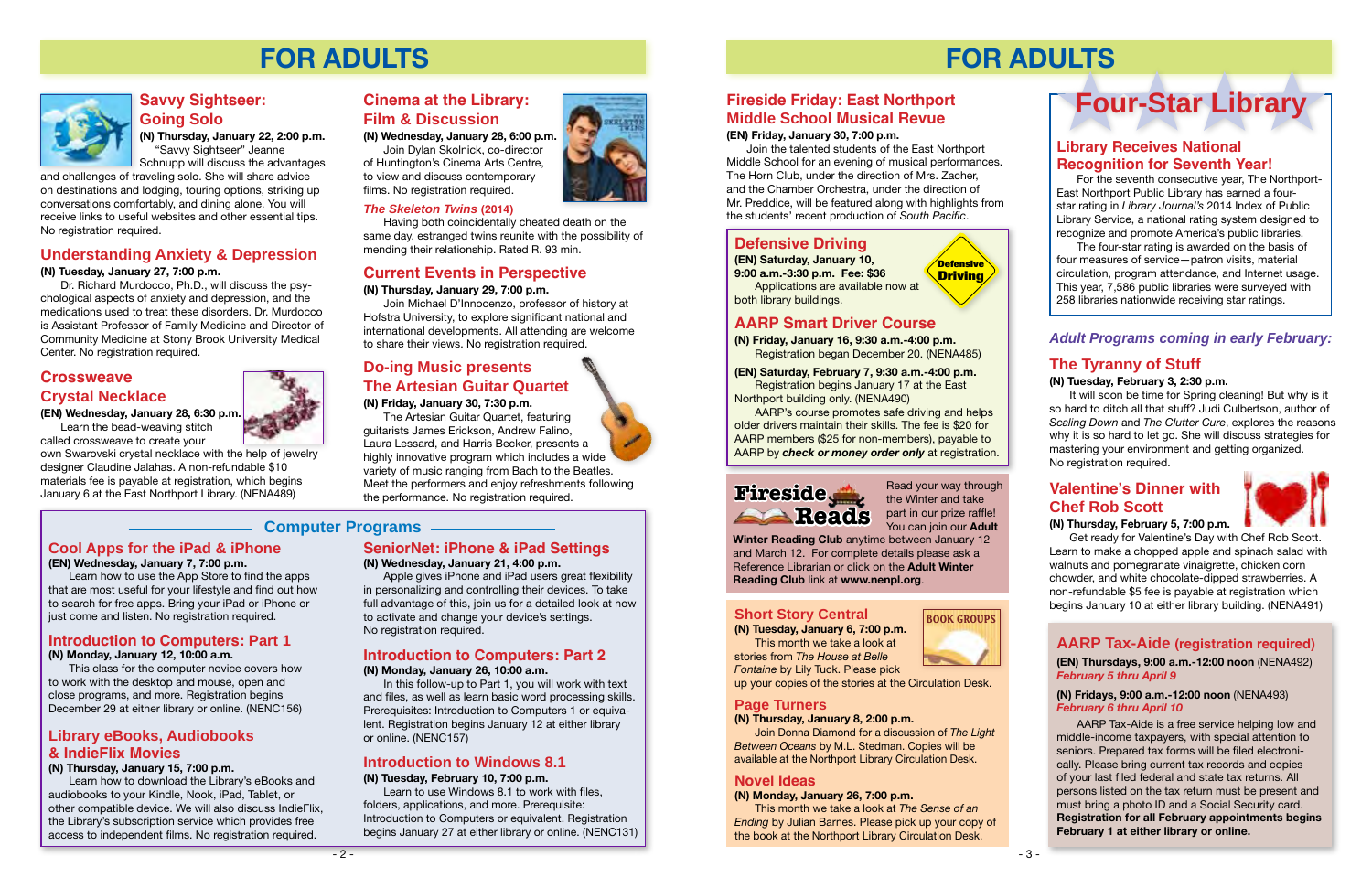## **FOR ADULTS**



**Introduction to Computers: Part 1** 

**(N) Monday, January 12, 10:00 a.m.**

This class for the computer novice covers how

to work with the desktop and mouse, open and close programs, and more. Registration begins December 29 at either library or online. [\(NENC156\)](http://alpha2.suffolk.lib.ny.us/search/?searchtype=X&SORT=D&searcharg=nenc156&searchscope=43)

## **Introduction to Computers: Part 2**

### **(N) Monday, January 26, 10:00 a.m.**

In this follow-up to Part 1, you will work with text and files, as well as learn basic word processing skills. Prerequisites: Introduction to Computers 1 or equivalent. Registration begins January 12 at either library or online. ([NENC157](http://alpha2.suffolk.lib.ny.us/search/?searchtype=X&SORT=D&searcharg=nenc157&searchscope=43))

**Cool Apps for the iPad & iPhone**

**(EN) Wednesday, January 7, 7:00 p.m.**

Learn how to use the App Store to find the apps that are most useful for your lifestyle and find out how to search for free apps. Bring your iPad or iPhone or just come and listen. No registration required.

and challenges of traveling solo. She will share advice on destinations and lodging, touring options, striking up conversations comfortably, and dining alone. You will receive links to useful websites and other essential tips. No registration required.

## **Do-ing Music presents The Artesian Guitar Quartet**

**(N) Friday, January 30, 7:30 p.m.**

The Artesian Guitar Quartet, featuring guitarists James Erickson, Andrew Falino, Laura Lessard, and Harris Becker, presents a highly innovative program which includes a wide variety of music ranging from Bach to the Beatles. Meet the performers and enjoy refreshments following the performance. No registration required.

## **Current Events in Perspective**

### **(N) Thursday, January 29, 7:00 p.m.**

Join Michael D'Innocenzo, professor of history at Hofstra University, to explore significant national and international developments. All attending are welcome to share their views. No registration required.

## **Savvy Sightseer: Going Solo**

**(N) Thursday, January 22, 2:00 p.m.** "Savvy Sightseer" Jeanne Schnupp will discuss the advantages

## **Understanding Anxiety & Depression**

### **(N) Tuesday, January 27, 7:00 p.m.**

Dr. Richard Murdocco, Ph.D., will discuss the psychological aspects of anxiety and depression, and the medications used to treat these disorders. Dr. Murdocco is Assistant Professor of Family Medicine and Director of Community Medicine at Stony Brook University Medical Center. No registration required.

## **Crossweave Crystal Necklace**

### **(EN) Wednesday, January 28, 6:30 p.m.**

Learn the bead-weaving stitch called crossweave to create your

own Swarovski crystal necklace with the help of jewelry designer Claudine Jalahas. A non-refundable \$10 materials fee is payable at registration, which begins January 6 at the East Northport Library. [\(NENA489](http://alpha2.suffolk.lib.ny.us/search/?searchtype=X&SORT=D&searcharg=nena4489&searchscope=43))

### **SeniorNet: iPhone & iPad Settings**

### **(N) Wednesday, January 21, 4:00 p.m.**

Apple gives iPhone and iPad users great flexibility in personalizing and controlling their devices. To take full advantage of this, join us for a detailed look at how to activate and change your device's settings. No registration required.

## **Introduction to Windows 8.1**

### **(N) Tuesday, February 10, 7:00 p.m.**

Learn to use Windows 8.1 to work with files, folders, applications, and more. Prerequisite: Introduction to Computers or equivalent. Registration begins January 27 at either library or online. [\(NENC131](http://alpha2.suffolk.lib.ny.us/search/?searchtype=X&SORT=D&searcharg=nenc131&searchscope=43))





audiobooks to your Kindle, Nook, iPad, Tablet, or other compatible device. We will also discuss IndieFlix, the Library's subscription service which provides free access to independent films. No registration required.

## **Cinema at the Library: Film & Discussion**

**(N) Wednesday, January 28, 6:00 p.m.**

Join Dylan Skolnick, co-director of Huntington's Cinema Arts Centre, to view and discuss contemporary films. No registration required.

### *The Skeleton Twins* **(2014)**

Having both coincidentally cheated death on the same day, estranged twins reunite with the possibility of mending their relationship. Rated R. 93 min.

## **Computer Programs**

## **FOR ADULTS**

**Defensive Driving**

## **Defensive Driving**

**(EN) Saturday, January 10, 9:00 a.m.-3:30 p.m. Fee: \$36** Applications are available now at both library buildings.

**AARP Smart Driver Course**

**(N) Friday, January 16, 9:30 a.m.-4:00 p.m.**  Registration began December 20. [\(NENA485\)](http://alpha2.suffolk.lib.ny.us/search/?searchtype=X&SORT=D&searcharg=nena485&searchscope=43)

**(EN) Saturday, February 7, 9:30 a.m.-4:00 p.m.**  Registration begins January 17 at the East Northport building only. [\(NENA490](http://alpha2.suffolk.lib.ny.us/search/?searchtype=X&SORT=D&searcharg=nena490&searchscope=43))

AARP's course promotes safe driving and helps older drivers maintain their skills. The fee is \$20 for AARP members (\$25 for non-members), payable to AARP by *check or money order only* at registration.

### **Short Story Central**

**(N) Tuesday, January 6, 7:00 p.m.** This month we take a look at stories from *The House at Belle Fontaine* by Lily Tuck. Please pick

up your copies of the stories at the Circulation Desk.

## **Page Turners**

### **(N) Thursday, January 8, 2:00 p.m.**

Join Donna Diamond for a discussion of *The Light Between Oceans* by M.L. Stedman. Copies will be available at the Northport Library Circulation Desk.

### **Novel Ideas**

**(N) Monday, January 26, 7:00 p.m.**

This month we take a look at *The Sense of an Ending* by Julian Barnes. Please pick up your copy of the book at the Northport Library Circulation Desk.



# **Reads**





the Winter and take part in our prize raffle! You can join our **Adult** 

**Winter Reading Club** anytime between January 12 and March 12. For complete details please ask a Reference Librarian or click on the **Adult Winter Reading Club** link at **www.nenpl.org**.

## **Library Receives National Recognition for Seventh Year!**

For the seventh consecutive year, The Northport-East Northport Public Library has earned a fourstar rating in *Library Journal's* 2014 Index of Public Library Service, a national rating system designed to recognize and promote America's public libraries.

The four-star rating is awarded on the basis of four measures of service—patron visits, material circulation, program attendance, and Internet usage. This year, 7,586 public libraries were surveyed with 258 libraries nationwide receiving star ratings.

## *Adult Programs coming in early February:*

## **Valentine's Dinner with Chef Rob Scott**

### **(N) Thursday, February 5, 7:00 p.m.**

Get ready for Valentine's Day with Chef Rob Scott. Learn to make a chopped apple and spinach salad with walnuts and pomegranate vinaigrette, chicken corn chowder, and white chocolate-dipped strawberries. A non-refundable \$5 fee is payable at registration which begins January 10 at either library building. ([NENA491](http://alpha2.suffolk.lib.ny.us/search/?searchtype=X&SORT=D&searcharg=nena491&searchscope=43))

## **AARP Tax-Aide (registration required)**

### **(EN) Thursdays, 9:00 a.m.-12:00 noon** [\(NENA492](http://alpha2.suffolk.lib.ny.us/search/?searchtype=X&SORT=D&searcharg=nena492&searchscope=43)) *February 5 thru April 9*

### **(N) Fridays, 9:00 a.m.-12:00 noon** [\(NENA493\)](http://alpha2.suffolk.lib.ny.us/search/?searchtype=X&SORT=D&searcharg=nena493&searchscope=43) *February 6 thru April 10*

AARP Tax-Aide is a free service helping low and middle-income taxpayers, with special attention to seniors. Prepared tax forms will be filed electronically. Please bring current tax records and copies of your last filed federal and state tax returns. All persons listed on the tax return must be present and must bring a photo ID and a Social Security card. **Registration for all February appointments begins February 1 at either library or online.**

## **The Tyranny of Stuff**

### **(N) Tuesday, February 3, 2:30 p.m.**

It will soon be time for Spring cleaning! But why is it so hard to ditch all that stuff? Judi Culbertson, author of *Scaling Down* and *The Clutter Cure*, explores the reasons why it is so hard to let go. She will discuss strategies for mastering your environment and getting organized. No registration required.

## **Fireside Friday: East Northport Middle School Musical Revue**

### **(EN) Friday, January 30, 7:00 p.m.**

Join the talented students of the East Northport Middle School for an evening of musical performances. The Horn Club, under the direction of Mrs. Zacher, and the Chamber Orchestra, under the direction of Mr. Preddice, will be featured along with highlights from the students' recent production of *South Pacific*.

## **Four-Star Library**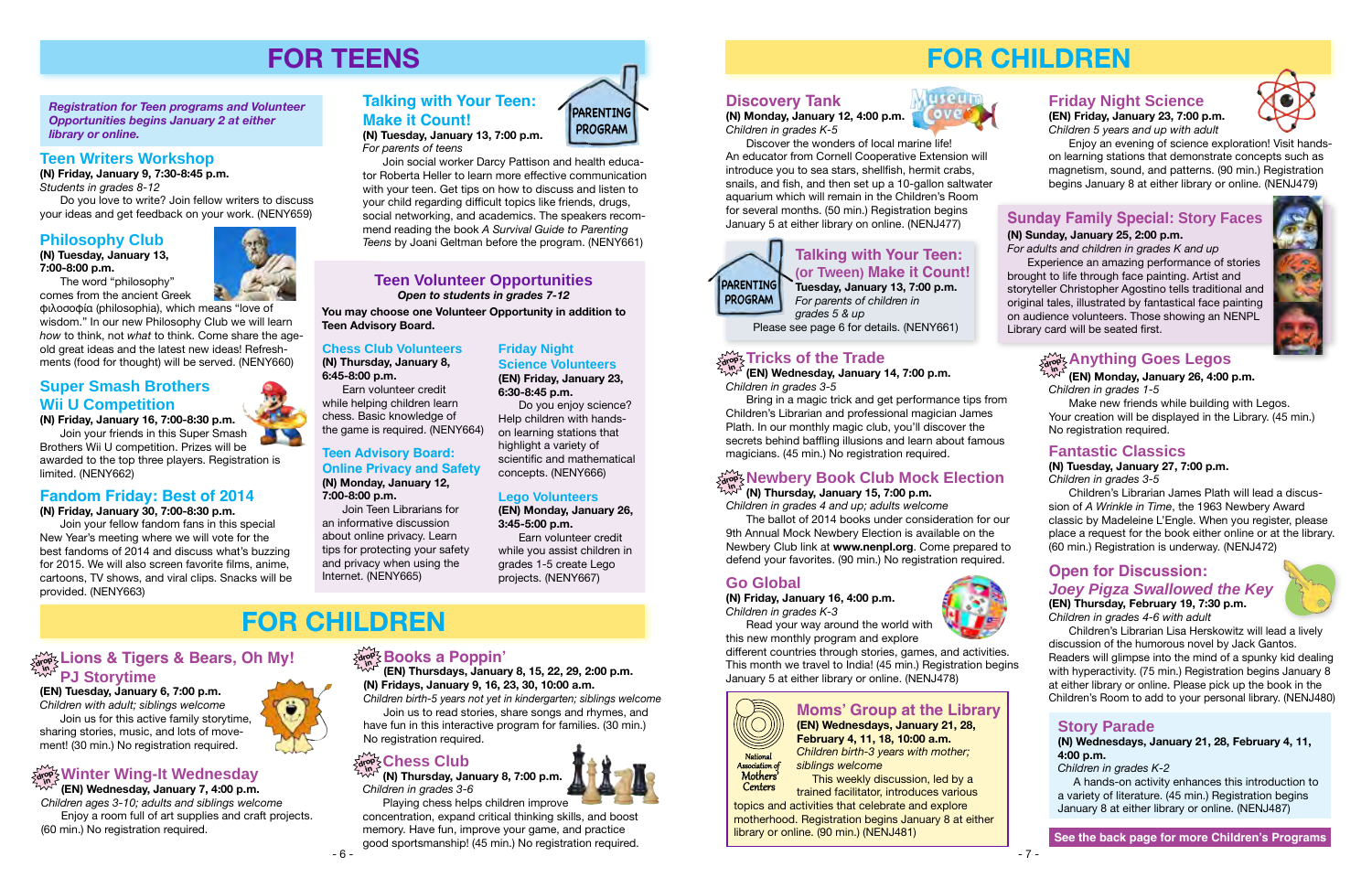## **drop in Books a Poppin'**

**(EN) Thursdays, January 8, 15, 22, 29, 2:00 p.m. (N) Fridays, January 9, 16, 23, 30, 10:00 a.m.**

*Children birth-5 years not yet in kindergarten; siblings welcome* Join us to read stories, share songs and rhymes, and have fun in this interactive program for families. (30 min.) No registration required.

## **drop in Chess Club**

**(N) Thursday, January 8, 7:00 p.m.** *Children in grades 3-6*

#### $\mathbb{Z}^{\infty}_{\text{adv}}$ չLions & Tigers & Bears, Oh My! **PJ Storytime in**

Playing chess helps children improve concentration, expand critical thinking skills, and boost memory. Have fun, improve your game, and practice good sportsmanship! (45 min.) No registration required.

**(EN) Tuesday, January 6, 7:00 p.m.** *Children with adult; siblings welcome* Join us for this active family storytime, sharing stories, music, and lots of movement! (30 min.) No registration required.

### **Teen Volunteer Opportunities** *Open to students in grades 7-12*

Join social worker Darcy Pattison and health educator Roberta Heller to learn more effective communication with your teen. Get tips on how to discuss and listen to your child regarding difficult topics like friends, drugs, social networking, and academics. The speakers recommend reading the book *A Survival Guide to Parenting*  **Philosophy Club** *Teens* by Joani Geltman before the program. [\(NENY661](http://alpha2.suffolk.lib.ny.us/search/?searchtype=X&SORT=D&searcharg=neny661&searchscope=43))

> **You may choose one Volunteer Opportunity in addition to Teen Advisory Board.**

*Registration for Teen programs and Volunteer Opportunities begins January 2 at either library or online.*

## **FOR TEENS**

### **Teen Writers Workshop**

**(N) Friday, January 9, 7:30-8:45 p.m.** *Students in grades 8-12*

Do you love to write? Join fellow writers to discuss your ideas and get feedback on your work. [\(NENY659\)](http://alpha2.suffolk.lib.ny.us/search/?searchtype=X&SORT=D&searcharg=neny659searchscope=43)

## **Chess Club Volunteers**

**(N) Thursday, January 8, 6:45-8:00 p.m.**

Earn volunteer credit while helping children learn chess. Basic knowledge of the game is required. ([NENY664](http://alpha2.suffolk.lib.ny.us/search/?searchtype=X&SORT=D&searcharg=nena664&searchscope=43))

# **Online Privacy and Safety**

## **Teen Advisory Board: (N) Monday, January 12, 7:00-8:00 p.m.**

Join Teen Librarians for an informative discussion about online privacy. Learn tips for protecting your safety and privacy when using the Internet. ([NENY665\)](http://alpha2.suffolk.lib.ny.us/search/?searchtype=X&SORT=D&searcharg=neny665&searchscope=43)



**(N) Tuesday, January 13, 7:00 p.m.**  *For parents of teens*

**(N) Tuesday, January 13, 7:00-8:00 p.m.**

The word "philosophy" comes from the ancient Greek

> $\mathbb{W}^{\mathcal{F}}$  (EN) Wednesday, January 14, 7:00 p.m. *Children in grades 3-5*

φιλοσοφία (philosophia), which means "love of wisdom." In our new Philosophy Club we will learn *how* to think, not *what* to think. Come share the ageold great ideas and the latest new ideas! Refreshments (food for thought) will be served. ([NENY660](http://alpha2.suffolk.lib.ny.us/search/?searchtype=X&SORT=D&searcharg=neny660&searchscope=43))

### **Fandom Friday: Best of 2014**

**(N) Friday, January 30, 7:00-8:30 p.m.**

Join your fellow fandom fans in this special New Year's meeting where we will vote for the best fandoms of 2014 and discuss what's buzzing for 2015. We will also screen favorite films, anime, cartoons, TV shows, and viral clips. Snacks will be provided. [\(NENY663\)](http://alpha2.suffolk.lib.ny.us/search/?searchtype=X&SORT=D&searcharg=neny663&searchscope=43)

## **Super Smash Brothers Wii U Competition**

**(N) Friday, January 16, 7:00-8:30 p.m.** Join your friends in this Super Smash Brothers Wii U competition. Prizes will be

awarded to the top three players. Registration is limited. [\(NENY662](http://alpha2.suffolk.lib.ny.us/search/?searchtype=X&SORT=D&searcharg=neny662&searchscope=43))

**(EN) Wednesday, January 7, 4:00 p.m.** *Children ages 3-10; adults and siblings welcome* Enjoy a room full of art supplies and craft projects. (60 min.) No registration required.

**Friday Night** 

**Science Volunteers (EN) Friday, January 23,** 

**6:30-8:45 p.m.**

Do you enjoy science?

## **Winter Wing-It Wednesday drop in**

Help children with handson learning stations that highlight a variety of

> scientific and mathematical concepts. [\(NENY666](http://alpha2.suffolk.lib.ny.us/search/?searchtype=X&SORT=D&searcharg=neny666&searchscope=43))

#### $\mathcal{H}_{\alpha\circ\beta}^{\infty}$  Anything Goes Legos **in**

**Lego Volunteers (EN) Monday, January 26,** 

**3:45-5:00 p.m.**

Earn volunteer credit while you assist children in grades 1-5 create Lego projects. ([NENY667](http://alpha2.suffolk.lib.ny.us/search/?searchtype=X&SORT=D&searcharg=neny667&searchscope=43))

## **FOR CHILDREN**



## **FOR CHILDREN**

### **Discovery Tank**

**(N) Monday, January 12, 4:00 p.m.** *Children in grades K-5*

Discover the wonders of local marine life! An educator from Cornell Cooperative Extension will introduce you to sea stars, shellfish, hermit crabs, snails, and fish, and then set up a 10-gallon saltwater aquarium which will remain in the Children's Room for several months. (50 min.) Registration begins January 5 at either library on online. [\(NENJ477\)](http://alpha2.suffolk.lib.ny.us/search/?searchtype=X&SORT=D&searcharg=nenj477&searchscope=43)

**(N) Thursday, January 15, 7:00 p.m.**

*Children in grades 4 and up; adults welcome*

The ballot of 2014 books under consideration for our 9th Annual Mock Newbery Election is available on the Newbery Club link at **www.nenpl.org**. Come prepared to defend your favorites. (90 min.) No registration required.

Bring in a magic trick and get performance tips from Children's Librarian and professional magician James Plath. In our monthly magic club, you'll discover the secrets behind baffling illusions and learn about famous magicians. (45 min.) No registration required.

### **Open for Discussion:**  *Joey Pigza Swallowed the Key*  **(EN) Thursday, February 19, 7:30 p.m.**



*Children in grades 4-6 with adult*

Children's Librarian Lisa Herskowitz will lead a lively discussion of the humorous novel by Jack Gantos. Readers will glimpse into the mind of a spunky kid dealing with hyperactivity. (75 min.) Registration begins January 8 at either library or online. Please pick up the book in the Children's Room to add to your personal library. ([NENJ480\)](http://alpha2.suffolk.lib.ny.us/search/?searchtype=X&SORT=D&searcharg=nenj480&searchscope=43)

## **Go Global**

**(N) Friday, January 16, 4:00 p.m.**  *Children in grades K-3*

Read your way around the world with this new monthly program and explore

different countries through stories, games, and activities. This month we travel to India! (45 min.) Registration begins January 5 at either library or online. [\(NENJ478\)](http://alpha2.suffolk.lib.ny.us/search/?searchtype=X&SORT=D&searcharg=nenj478&searchscope=43)

#### **Newbery Book Club Mock Election drop in**

## **Friday Night Science**

**(EN) Friday, January 23, 7:00 p.m.** *Children 5 years and up with adult*

Enjoy an evening of science exploration! Visit handson learning stations that demonstrate concepts such as magnetism, sound, and patterns. (90 min.) Registration begins January 8 at either library or online. ([NENJ479](http://alpha2.suffolk.lib.ny.us/search/?searchtype=X&SORT=D&searcharg=nenj479&searchscope=43))

## **Talking with Your Teen: (or Tween) Make it Count! Tuesday, January 13, 7:00 p.m.**

*For parents of children in grades 5 & up*

Please see page 6 for details. ([NENY661](http://alpha2.suffolk.lib.ny.us/search/?searchtype=X&SORT=D&searcharg=neny661&searchscope=43))

## $\frac{1}{\alpha! \alpha!}$  Tricks of the Trade

**(EN) Monday, January 26, 4:00 p.m.**

*Children in grades 1-5*

Make new friends while building with Legos. Your creation will be displayed in the Library. (45 min.) No registration required.

## **Fantastic Classics**

### **(N) Tuesday, January 27, 7:00 p.m.**

*Children in grades 3-5*

Children's Librarian James Plath will lead a discussion of *A Wrinkle in Time*, the 1963 Newbery Award classic by Madeleine L'Engle. When you register, please place a request for the book either online or at the library. (60 min.) Registration is underway. [\(NENJ472\)](http://alpha2.suffolk.lib.ny.us/search/?searchtype=X&SORT=D&searcharg=nenj472&searchscope=43)

## **Sunday Family Special: Story Faces**

### **(N) Sunday, January 25, 2:00 p.m.**

*For adults and children in grades K and up* Experience an amazing performance of stories brought to life through face painting. Artist and storyteller Christopher Agostino tells traditional and original tales, illustrated by fantastical face painting on audience volunteers. Those showing an NENPL Library card will be seated first.





### **Moms' Group at the Library (EN) Wednesdays, January 21, 28,**

**February 4, 11, 18, 10:00 a.m.** *Children birth-3 years with mother; siblings welcome*

 This weekly discussion, led by a trained facilitator, introduces various

topics and activities that celebrate and explore motherhood. Registration begins January 8 at either library or online. (90 min.) [\(NENJ481\)](http://alpha2.suffolk.lib.ny.us/search/?searchtype=X&SORT=D&searcharg=nenj481&searchscope=43)













**Centers** 

## **Story Parade**

**(N) Wednesdays, January 21, 28, February 4, 11, 4:00 p.m.**

*Children in grades K-2*

 A hands-on activity enhances this introduction to a variety of literature. (45 min.) Registration begins January 8 at either library or online. [\(NENJ487\)](http://alpha2.suffolk.lib.ny.us/search/?searchtype=X&SORT=D&searcharg=nenj487&searchscope=43)